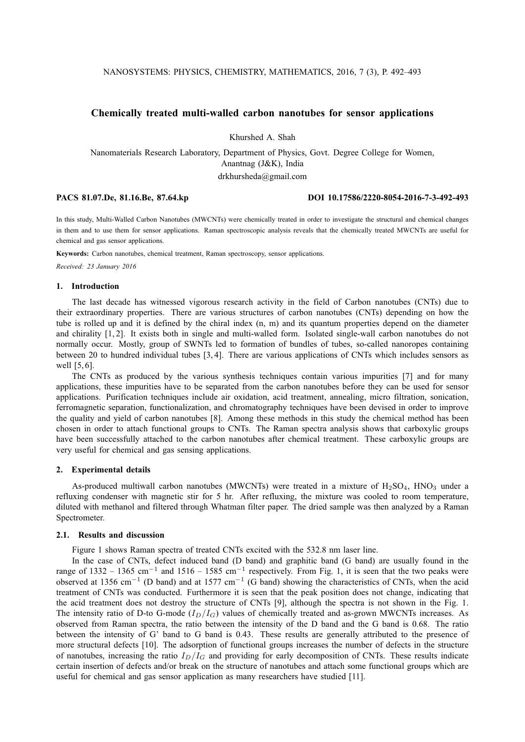## **Chemically treated multi-walled carbon nanotubes for sensor applications**

Khurshed A. Shah

Nanomaterials Research Laboratory, Department of Physics, Govt. Degree College for Women, Anantnag (J&K), India drkhursheda@gmail.com

**PACS 81.07.De, 81.16.Be, 87.64.kp DOI 10.17586/2220-8054-2016-7-3-492-493**

In this study, Multi-Walled Carbon Nanotubes (MWCNTs) were chemically treated in order to investigate the structural and chemical changes in them and to use them for sensor applications. Raman spectroscopic analysis reveals that the chemically treated MWCNTs are useful for chemical and gas sensor applications.

**Keywords:** Carbon nanotubes, chemical treatment, Raman spectroscopy, sensor applications.

*Received: 23 January 2016*

# **1. Introduction**

The last decade has witnessed vigorous research activity in the field of Carbon nanotubes (CNTs) due to their extraordinary properties. There are various structures of carbon nanotubes (CNTs) depending on how the tube is rolled up and it is defined by the chiral index (n, m) and its quantum properties depend on the diameter and chirality [1, 2]. It exists both in single and multi-walled form. Isolated single-wall carbon nanotubes do not normally occur. Mostly, group of SWNTs led to formation of bundles of tubes, so-called nanoropes containing between 20 to hundred individual tubes [3, 4]. There are various applications of CNTs which includes sensors as well [5, 6].

The CNTs as produced by the various synthesis techniques contain various impurities [7] and for many applications, these impurities have to be separated from the carbon nanotubes before they can be used for sensor applications. Purification techniques include air oxidation, acid treatment, annealing, micro filtration, sonication, ferromagnetic separation, functionalization, and chromatography techniques have been devised in order to improve the quality and yield of carbon nanotubes [8]. Among these methods in this study the chemical method has been chosen in order to attach functional groups to CNTs. The Raman spectra analysis shows that carboxylic groups have been successfully attached to the carbon nanotubes after chemical treatment. These carboxylic groups are very useful for chemical and gas sensing applications.

## **2. Experimental details**

As-produced multiwall carbon nanotubes (MWCNTs) were treated in a mixture of  $H_2SO_4$ ,  $HNO_3$  under a refluxing condenser with magnetic stir for 5 hr. After refluxing, the mixture was cooled to room temperature, diluted with methanol and filtered through Whatman filter paper. The dried sample was then analyzed by a Raman Spectrometer.

## **2.1. Results and discussion**

Figure 1 shows Raman spectra of treated CNTs excited with the 532.8 nm laser line.

In the case of CNTs, defect induced band (D band) and graphitic band (G band) are usually found in the range of 1332 – 1365 cm<sup>-1</sup> and 1516 – 1585 cm<sup>-1</sup> respectively. From Fig. 1, it is seen that the two peaks were observed at 1356 cm<sup>-1</sup> (D band) and at 1577 cm<sup>-1</sup> (G band) showing the characteristics of CNTs, when the acid treatment of CNTs was conducted. Furthermore it is seen that the peak position does not change, indicating that the acid treatment does not destroy the structure of CNTs [9], although the spectra is not shown in the Fig. 1. The intensity ratio of D-to G-mode  $(I_D/I_G)$  values of chemically treated and as-grown MWCNTs increases. As observed from Raman spectra, the ratio between the intensity of the D band and the G band is 0.68. The ratio between the intensity of G' band to G band is 0.43. These results are generally attributed to the presence of more structural defects [10]. The adsorption of functional groups increases the number of defects in the structure of nanotubes, increasing the ratio  $I_D/I_G$  and providing for early decomposition of CNTs. These results indicate certain insertion of defects and/or break on the structure of nanotubes and attach some functional groups which are useful for chemical and gas sensor application as many researchers have studied [11].